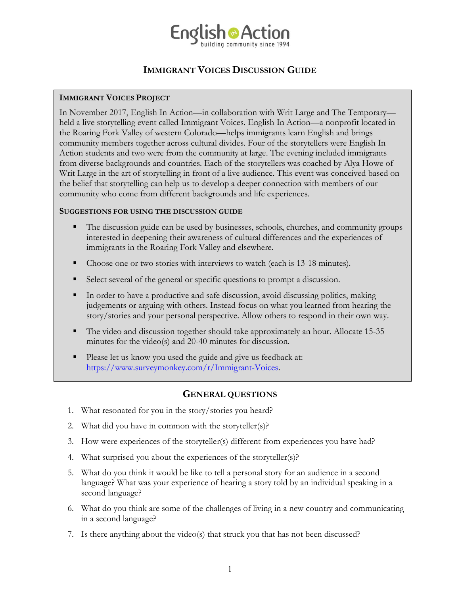

# **IMMIGRANT VOICES DISCUSSION GUIDE**

## **IMMIGRANT VOICES PROJECT**

In November 2017, English In Action—in collaboration with Writ Large and The Temporary held a live storytelling event called Immigrant Voices. English In Action—a nonprofit located in the Roaring Fork Valley of western Colorado—helps immigrants learn English and brings community members together across cultural divides. Four of the storytellers were English In Action students and two were from the community at large. The evening included immigrants from diverse backgrounds and countries. Each of the storytellers was coached by Alya Howe of Writ Large in the art of storytelling in front of a live audience. This event was conceived based on the belief that storytelling can help us to develop a deeper connection with members of our community who come from different backgrounds and life experiences.

### **SUGGESTIONS FOR USING THE DISCUSSION GUIDE**

- The discussion guide can be used by businesses, schools, churches, and community groups interested in deepening their awareness of cultural differences and the experiences of immigrants in the Roaring Fork Valley and elsewhere.
- Choose one or two stories with interviews to watch (each is 13-18 minutes).
- Select several of the general or specific questions to prompt a discussion.
- In order to have a productive and safe discussion, avoid discussing politics, making judgements or arguing with others. Instead focus on what you learned from hearing the story/stories and your personal perspective. Allow others to respond in their own way.
- The video and discussion together should take approximately an hour. Allocate 15-35 minutes for the video(s) and 20-40 minutes for discussion.
- Please let us know you used the guide and give us feedback at: [https://www.surveymonkey.com/r/Immigrant-Voices.](https://www.surveymonkey.com/r/Immigrant-Voices)

# **GENERAL QUESTIONS**

- 1. What resonated for you in the story/stories you heard?
- 2. What did you have in common with the storyteller(s)?
- 3. How were experiences of the storyteller(s) different from experiences you have had?
- 4. What surprised you about the experiences of the storyteller(s)?
- 5. What do you think it would be like to tell a personal story for an audience in a second language? What was your experience of hearing a story told by an individual speaking in a second language?
- 6. What do you think are some of the challenges of living in a new country and communicating in a second language?
- 7. Is there anything about the video(s) that struck you that has not been discussed?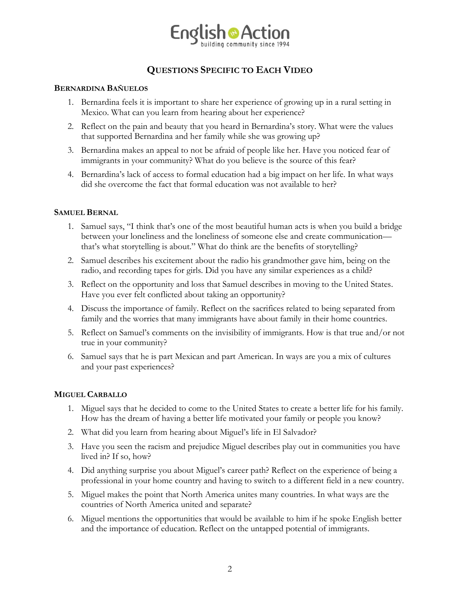

# **QUESTIONS SPECIFIC TO EACH VIDEO**

#### **BERNARDINA BAÑUELOS**

- 1. Bernardina feels it is important to share her experience of growing up in a rural setting in Mexico. What can you learn from hearing about her experience?
- 2. Reflect on the pain and beauty that you heard in Bernardina's story. What were the values that supported Bernardina and her family while she was growing up?
- 3. Bernardina makes an appeal to not be afraid of people like her. Have you noticed fear of immigrants in your community? What do you believe is the source of this fear?
- 4. Bernardina's lack of access to formal education had a big impact on her life. In what ways did she overcome the fact that formal education was not available to her?

#### **SAMUEL BERNAL**

- 1. Samuel says, "I think that's one of the most beautiful human acts is when you build a bridge between your loneliness and the loneliness of someone else and create communication that's what storytelling is about." What do think are the benefits of storytelling?
- 2. Samuel describes his excitement about the radio his grandmother gave him, being on the radio, and recording tapes for girls. Did you have any similar experiences as a child?
- 3. Reflect on the opportunity and loss that Samuel describes in moving to the United States. Have you ever felt conflicted about taking an opportunity?
- 4. Discuss the importance of family. Reflect on the sacrifices related to being separated from family and the worries that many immigrants have about family in their home countries.
- 5. Reflect on Samuel's comments on the invisibility of immigrants. How is that true and/or not true in your community?
- 6. Samuel says that he is part Mexican and part American. In ways are you a mix of cultures and your past experiences?

### **MIGUEL CARBALLO**

- 1. Miguel says that he decided to come to the United States to create a better life for his family. How has the dream of having a better life motivated your family or people you know?
- 2. What did you learn from hearing about Miguel's life in El Salvador?
- 3. Have you seen the racism and prejudice Miguel describes play out in communities you have lived in? If so, how?
- 4. Did anything surprise you about Miguel's career path? Reflect on the experience of being a professional in your home country and having to switch to a different field in a new country.
- 5. Miguel makes the point that North America unites many countries. In what ways are the countries of North America united and separate?
- 6. Miguel mentions the opportunities that would be available to him if he spoke English better and the importance of education. Reflect on the untapped potential of immigrants.